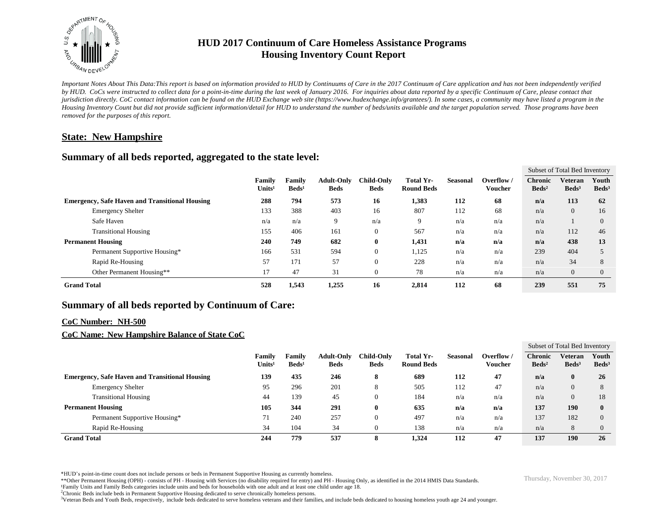

# **HUD 2017 Continuum of Care Homeless Assistance Programs Housing Inventory Count Report**

*Important Notes About This Data:This report is based on information provided to HUD by Continuums of Care in the 2017 Continuum of Care application and has not been independently verified by HUD. CoCs were instructed to collect data for a point-in-time during the last week of January 2016. For inquiries about data reported by a specific Continuum of Care, please contact that jurisdiction directly. CoC contact information can be found on the HUD Exchange web site (https://www.hudexchange.info/grantees/). In some cases, a community may have listed a program in the Housing Inventory Count but did not provide sufficient information/detail for HUD to understand the number of beds/units available and the target population served. Those programs have been removed for the purposes of this report.*

## **State: New Hampshire**

## **Summary of all beds reported, aggregated to the state level:**

|                                                       |                                     |                           |                                  |                                  |                                |                 |                              | Subset of Total Bed Inventory     |                                   |                          |
|-------------------------------------------------------|-------------------------------------|---------------------------|----------------------------------|----------------------------------|--------------------------------|-----------------|------------------------------|-----------------------------------|-----------------------------------|--------------------------|
|                                                       | <b>Family</b><br>Units <sup>1</sup> | Family<br>$\text{Beds}^1$ | <b>Adult-Only</b><br><b>Beds</b> | <b>Child-Only</b><br><b>Beds</b> | Total Yr-<br><b>Round Beds</b> | <b>Seasonal</b> | Overflow /<br><b>Voucher</b> | <b>Chronic</b><br>$\text{Beds}^2$ | <b>Veteran</b><br>$\text{Beds}^3$ | Youth<br>$\text{Beds}^3$ |
| <b>Emergency, Safe Haven and Transitional Housing</b> | 288                                 | 794                       | 573                              | 16                               | 1,383                          | 112             | 68                           | n/a                               | 113                               | 62                       |
| <b>Emergency Shelter</b>                              | 133                                 | 388                       | 403                              | 16                               | 807                            | 112             | 68                           | n/a                               | $\overline{0}$                    | 16                       |
| Safe Haven                                            | n/a                                 | n/a                       | 9                                | n/a                              | 9                              | n/a             | n/a                          | n/a                               |                                   | $\Omega$                 |
| <b>Transitional Housing</b>                           | 155                                 | 406                       | 161                              | $\boldsymbol{0}$                 | 567                            | n/a             | n/a                          | n/a                               | 112                               | 46                       |
| <b>Permanent Housing</b>                              | 240                                 | 749                       | 682                              | $\bf{0}$                         | 1,431                          | n/a             | n/a                          | n/a                               | 438                               | 13                       |
| Permanent Supportive Housing*                         | 166                                 | 531                       | 594                              | $\boldsymbol{0}$                 | 1,125                          | n/a             | n/a                          | 239                               | 404                               |                          |
| Rapid Re-Housing                                      | 57                                  | 171                       | 57                               | $\mathbf{0}$                     | 228                            | n/a             | n/a                          | n/a                               | 34                                | 8                        |
| Other Permanent Housing**                             | 17                                  | 47                        | 31                               | $\boldsymbol{0}$                 | 78                             | n/a             | n/a                          | n/a                               | $\overline{0}$                    | $\theta$                 |
| <b>Grand Total</b>                                    | 528                                 | 1,543                     | 1,255                            | 16                               | 2,814                          | 112             | 68                           | 239                               | 551                               | 75                       |

# **Summary of all beds reported by Continuum of Care:**

#### **CoC Number: NH-500**

### **CoC Name: New Hampshire Balance of State CoC**

|                                                       |                              |                           |                                  |                                  |                                |          |                       | Subset of Total Bed Inventory     |                              |                          |
|-------------------------------------------------------|------------------------------|---------------------------|----------------------------------|----------------------------------|--------------------------------|----------|-----------------------|-----------------------------------|------------------------------|--------------------------|
|                                                       | Family<br>Units <sup>1</sup> | Family<br>$\text{Beds}^1$ | <b>Adult-Only</b><br><b>Beds</b> | <b>Child-Only</b><br><b>Beds</b> | Total Yr-<br><b>Round Beds</b> | Seasonal | Overflow /<br>Voucher | <b>Chronic</b><br>$\text{Beds}^2$ | Veteran<br>Beds <sup>3</sup> | Youth<br>$\text{Beds}^3$ |
| <b>Emergency, Safe Haven and Transitional Housing</b> | 139                          | 435                       | 246                              | 8                                | 689                            | 112      | 47                    | n/a                               | $\bf{0}$                     | 26                       |
| <b>Emergency Shelter</b>                              | 95                           | 296                       | 201                              | Õ                                | 505                            | 112      | 47                    | n/a                               | $\theta$                     | 8                        |
| <b>Transitional Housing</b>                           | 44                           | 139                       | 45                               |                                  | 184                            | n/a      | n/a                   | n/a                               | $\theta$                     | 18                       |
| <b>Permanent Housing</b>                              | 105                          | 344                       | 291                              | 0                                | 635                            | n/a      | n/a                   | 137                               | 190                          | $\mathbf{0}$             |
| Permanent Supportive Housing*                         | 71                           | 240                       | 257                              |                                  | 497                            | n/a      | n/a                   | 137                               | 182                          | $\Omega$                 |
| Rapid Re-Housing                                      | 34                           | 104                       | 34                               |                                  | 138                            | n/a      | n/a                   | n/a                               | 8                            |                          |
| <b>Grand Total</b>                                    | 244                          | 779                       | 537                              | 8                                | 1,324                          | 112      | 47                    | 137                               | 190                          | 26                       |

\*HUD's point-in-time count does not include persons or beds in Permanent Supportive Housing as currently homeless.<br>\*\*Other Permanent Housing (OPH) - consists of PH - Housing with Services (no disability required for entry)

¹Family Units and Family Beds categories include units and beds for households with one adult and at least one child under age 18.

<sup>2</sup>Chronic Beds include beds in Permanent Supportive Housing dedicated to serve chronically homeless persons.

<sup>3</sup>Veteran Beds and Youth Beds, respectively, include beds dedicated to serve homeless veterans and their families, and include beds dedicated to housing homeless youth age 24 and younger.